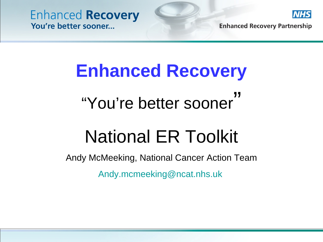

**Enhanced Recovery Partnership** 

# **Enhanced Recovery**

# "You're better sooner"

# National ER Toolkit

Andy McMeeking, National Cancer Action Team [Andy.mcmeeking@ncat.nhs.uk](mailto:Andy.mcmeeking@ncat.nhs.uk)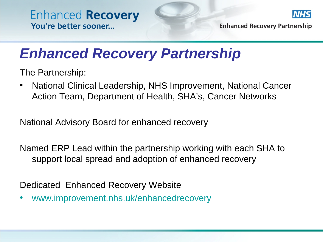

**Enhanced Recovery Partnership** 

### *Enhanced Recovery Partnership*

The Partnership:

• National Clinical Leadership, NHS Improvement, National Cancer Action Team, Department of Health, SHA's, Cancer Networks

National Advisory Board for enhanced recovery

Named ERP Lead within the partnership working with each SHA to support local spread and adoption of enhanced recovery

Dedicated Enhanced Recovery Website

• [www.improvement.nhs.uk/enhancedrecovery](http://www.improvement.nhs.uk/enhancedrecovery)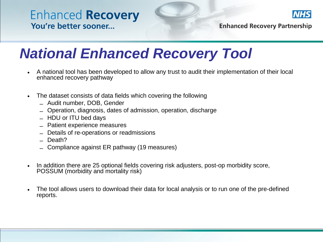

**Enhanced Recovery Partnership** 

## *National Enhanced Recovery Tool*

- A national tool has been developed to allow any trust to audit their implementation of their local enhanced recovery pathway
- The dataset consists of data fields which covering the following
	- Audit number, DOB, Gender
	- Operation, diagnosis, dates of admission, operation, discharge
	- HDU or ITU bed days
	- Patient experience measures
	- Details of re-operations or readmissions
	- Death?
	- Compliance against ER pathway (19 measures)
- In addition there are 25 optional fields covering risk adjusters, post-op morbidity score, POSSUM (morbidity and mortality risk)
- The tool allows users to download their data for local analysis or to run one of the pre-defined reports.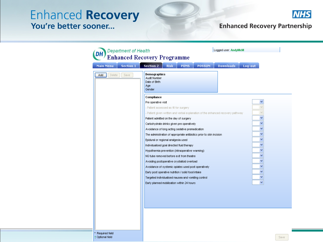

#### **Enhanced Recovery Partnership**

| <b>Department of Health</b>          | Logged user: AndyMcM<br><b>Enhanced Recovery Programme</b>                                     |
|--------------------------------------|------------------------------------------------------------------------------------------------|
| <b>Main Menu</b><br><b>Section 1</b> | <b>POSSUM</b><br><b>Downloads</b><br><b>Section 2</b><br>Log-out<br><b>Risk</b><br><b>POMS</b> |
| Save<br>Add<br>Delete                | Demographics<br>Audit Number<br>Date of Birth<br>Age<br>Gender                                 |
|                                      | Compliance                                                                                     |
|                                      | Pre operative visit                                                                            |
|                                      | - Patient assessed as fit for surgery                                                          |
|                                      | - Patient given written and verbal explanation of the enhanced recovery pathway                |
|                                      | Patient admitted on the day of surgery                                                         |
|                                      | Carbohydrate drinks given pre operatively                                                      |
|                                      | ٧<br>Avoidance of long acting sedative premedication                                           |
|                                      | The administration of appropriate antibiotics prior to skin incision                           |
|                                      | Epidural or regional analgesia used                                                            |
|                                      | v<br>Individualised goal directed fluid therapy                                                |
|                                      | v<br>Hypothermia prevention (intraoperative warming)                                           |
|                                      | NG tube removed before exit from theatre                                                       |
|                                      | v<br>Avoiding postoperative crystalloid overload                                               |
|                                      | v<br>Avoidance of systemic opiates used post operatively                                       |
|                                      | Early post operative nutrition / solid food intake                                             |
|                                      | ×<br>Targeted individualised nausea and vomiting control                                       |
|                                      | Early planned mobilisation within 24 hours                                                     |
|                                      |                                                                                                |
|                                      |                                                                                                |
|                                      |                                                                                                |
|                                      |                                                                                                |

\* Required field † Optional field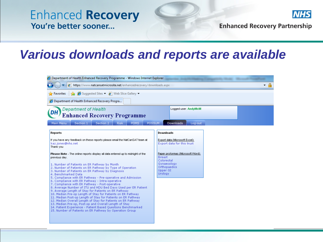

**Enhanced Recovery Partnership** 

### **Various downloads and reports are available**

| Department of Health Enhanced Recovery Programme - Windows Internet Explorer                                 |                                              |  |  |  |  |  |  |  |
|--------------------------------------------------------------------------------------------------------------|----------------------------------------------|--|--|--|--|--|--|--|
| $\bigodot$<br>https://www.natcansatmicrosite.net/enhancedrecovery/downloads.aspx<br>$\overline{\phantom{a}}$ |                                              |  |  |  |  |  |  |  |
| <b>A</b> Favorites $\frac{1}{2}$ <b>C</b> Suggested Sites $\bullet$ <b>C</b> Web Slice Gallery $\bullet$     |                                              |  |  |  |  |  |  |  |
| Department of Health Enhanced Recovery Progra                                                                |                                              |  |  |  |  |  |  |  |
| <b>DH</b> Department of Health<br>Enhanced Recovery Programme                                                | Logged user: AndyMcM                         |  |  |  |  |  |  |  |
| Main Menu<br>Section 1<br>Section 2<br><b>Risk</b><br>POMS                                                   | <b>POSSUM</b><br><b>Downloads</b><br>Log-out |  |  |  |  |  |  |  |
| Reports                                                                                                      | Downloads                                    |  |  |  |  |  |  |  |
| If you have any feedback on these reports please email the NatCanSAT team at                                 | Export data (Microsoft Excel):               |  |  |  |  |  |  |  |

| If you have any feedback on these reports please email the NatCanSAT team at I<br>kaz.jones@nhs.net<br>Thank you                                                                                                                                     | Export data (Microsoft Excel):<br>Export data for this trust     |
|------------------------------------------------------------------------------------------------------------------------------------------------------------------------------------------------------------------------------------------------------|------------------------------------------------------------------|
| Please Note - The online reports display all data entered up to midnight of the<br>previous day.                                                                                                                                                     | Paper proformas (Microsoft Word):<br><b>Breast</b><br>Colorectal |
| 1. Number of Patients on ER Pathway by Month.<br>2. Number of Patients on ER Pathway by Type of Operation<br>3. Number of Patients on ER Pathway by Diagnosis<br>4. Benchmarked Data                                                                 | Gynaecology<br>Orthopaedics<br>Upper GI<br>Urology               |
| 5. Compliance with ER Pathway - Pre-operative and Admission<br>6. Compliance with ER Pathway - Intra-operative<br>7. Compliance with ER Pathway - Post-operative<br>8. Average Number of ITU and HDU Bed Days Used per ER Patient                    |                                                                  |
| 9. Average Length of Stay for Patients on ER Pathway.<br>10. Median Pre-op Length of Stay for Patients on ER Pathway<br>11. Median Post-op Length of Stay for Patients on ER Pathway<br>12. Median Overall Length of Stay for Patients on ER Pathway |                                                                  |
| 13. Median Pre-op, Post-op and Overall Length of Stay<br>14. Patient Experience - Patient Based Questions Benchmarked<br>15. Number of Patients on ER Pathway by Operation Group                                                                     |                                                                  |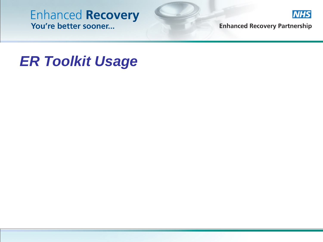

**Enhanced Recovery Partnership** 

### *ER Toolkit Usage*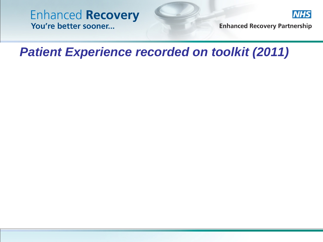

**Enhanced Recovery Partnership** 

### *Patient Experience recorded on toolkit (2011)*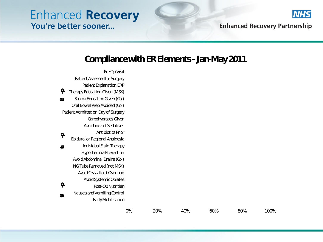

**Enhanced Recovery Partnership** 

#### **Compliance with ER Elements - Jan-May 2011**

0% 20% 40% 60% 80% 100% **Early Mobilisation** Nausea and Vomiting Control Post-Op Nutritian Avoid Systemic Opiates Avoid Crystalloid Overload NG Tube Removed (not MSK) Avoid Abdominal Drains (Col) Hypothermia Prevention Individual Fluid Therapy Epidural or Regional Analgesia Antibiotics Prior Avoidance of Sedatives Carbohydrates Given Patient Admitted on Day of Surgery Oral Bowel Prep Avoided (Col) Stoma Education Given (Col) Therapy Education Given (MSK) Patient Explanation ERP Patient Assessed for Surgery Pre Op Visit **Pre -op Intra -op Post-op**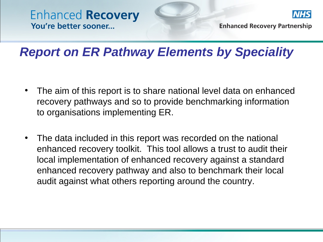

**Enhanced Recovery Partnership** 

### *Report on ER Pathway Elements by Speciality*

- The aim of this report is to share national level data on enhanced recovery pathways and so to provide benchmarking information to organisations implementing ER.
- The data included in this report was recorded on the national enhanced recovery toolkit. This tool allows a trust to audit their local implementation of enhanced recovery against a standard enhanced recovery pathway and also to benchmark their local audit against what others reporting around the country.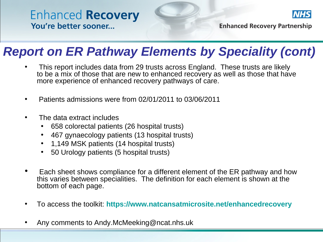

**Enhanced Recovery Partnership** 

### *Report on ER Pathway Elements by Speciality (cont)*

- This report includes data from 29 trusts across England. These trusts are likely to be a mix of those that are new to enhanced recovery as well as those that have more experience of enhanced recovery pathways of care.
- Patients admissions were from 02/01/2011 to 03/06/2011
- The data extract includes
	- 658 colorectal patients (26 hospital trusts)
	- 467 gynaecology patients (13 hospital trusts)
	- 1,149 MSK patients (14 hospital trusts)
	- 50 Urology patients (5 hospital trusts)
- Each sheet shows compliance for a different element of the ER pathway and how this varies between specialities. The definition for each element is shown at the bottom of each page.
- To access the toolkit: **<https://www.natcansatmicrosite.net/enhancedrecovery>**
- Any comments to Andy.McMeeking@ncat.nhs.uk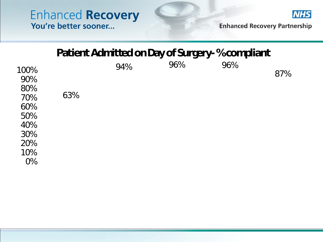

**Enhanced Recovery Partnership** 

#### **Patient Admitted on Day of Surgery-% compliant**

| 100%<br>90%<br>80%<br>70%<br>60%<br>50%<br>40%<br>30%<br>20%<br>10%<br>$0\%$ | 63% | 94% | 96% | 96% | 87% |
|------------------------------------------------------------------------------|-----|-----|-----|-----|-----|
|                                                                              |     |     |     |     |     |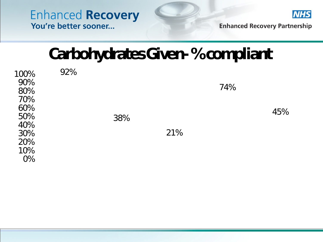

**Enhanced Recovery Partnership** 

## **Carbohydrates Given-% compliant**